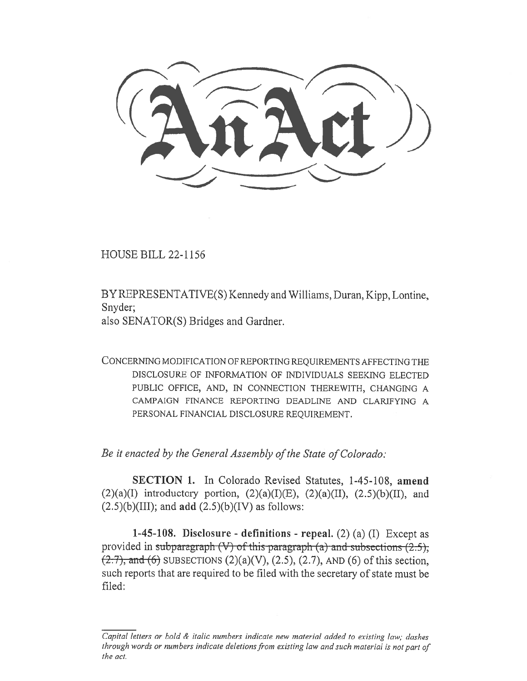HOUSE BILL 22-1156

BY REPRESENTATIVE(S) Kennedy and Williams, Duran, Kipp, Lontine, Snyder;

also SENATOR(S) Bridges and Gardner.

CONCERNING MODIFICATION OF REPORTING REQUIREMENTS AFFECTING THE DISCLOSURE OF INFORMATION OF INDIVIDUALS SEEKING ELECTED PUBLIC OFFICE, AND, IN CONNECTION THEREWITH, CHANGING A CAMPAIGN FINANCE REPORTING DEADLINE AND CLARIFYING A PERSONAL FINANCIAL DISCLOSURE REQUIREMENT.

Be it enacted by the General Assembly of the State of Colorado:

SECTION 1. In Colorado Revised Statutes, 1-45-108, amend (2)(a)(I) introductory portion, (2)(a)(I)(E), (2)(a)(II), (2.5)(b)(II), and  $(2.5)(b)(III)$ ; and add  $(2.5)(b)(IV)$  as follows:

1-45-108. Disclosure - definitions - repeal.  $(2)$   $(a)$   $(I)$  Except as provided in subparagraph (V) of this paragraph (a) and subsections  $(2.5)$ ;  $(2.7)$ , and (6) SUBSECTIONS  $(2)(a)(V)$ ,  $(2.5)$ ,  $(2.7)$ , AND (6) of this section, such reports that are required to be filed with the secretary of state must be filed:

Capital letters or bold & italic numbers indicate new material added to existing law; dashes through words or numbers indicate deletions from existing law and such material is not part of the act.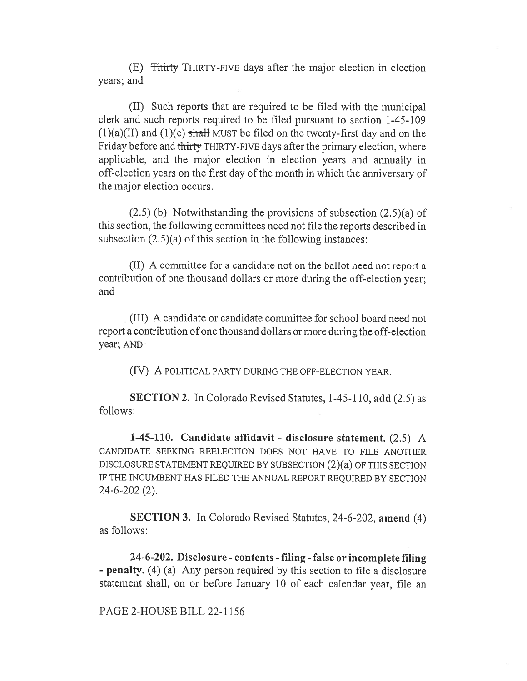(E) Thirty THIRTY-FIVE days after the major election in election years; and

(II) Such reports that are required to be filed with the municipal clerk and such reports required to be filed pursuant to section 1-45-109  $(1)(a)(II)$  and  $(1)(c)$  shall MUST be filed on the twenty-first day and on the Friday before and thirty THIRTY-FIVE days after the primary election, where applicable, and the major election in election years and annually in off-election years on the first day of the month in which the anniversary of the major election occurs.

(2.5) (b) Notwithstanding the provisions of subsection (2.5)(a) of this section, the following committees need not file the reports described in subsection  $(2.5)(a)$  of this section in the following instances:

(II) A committee for a candidate not on the ballot need not report a contribution of one thousand dollars or more during the off-election year; and

(III) A candidate or candidate committee for school board need not report a contribution of one thousand dollars or more during the off-election year; AND

(IV) A POLITICAL PARTY DURING THE OFF-ELECTION YEAR.

SECTION 2. In Colorado Revised Statutes, 1-45-110, add (2.5) as follows:

1-45-110. Candidate affidavit - disclosure statement. (2.5) A CANDIDATE SEEKING REELECTION DOES NOT HAVE TO FILE ANOTHER DISCLOSURE STATEMENT REQUIRED BY SUBSECTION (2)(a) OF THIS SECTION IF THE INCUMBENT HAS FILED THE ANNUAL REPORT REQUIRED BY SECTION 24-6-202 (2).

SECTION 3. In Colorado Revised Statutes, 24-6-202, amend (4) as follows:

24-6-202. Disclosure - contents - filing - false or incomplete filing - penalty. (4) (a) Any person required by this section to file a disclosure statement shall, on or before January 10 of each calendar year, file an

PAGE 2-HOUSE BILL 22-1156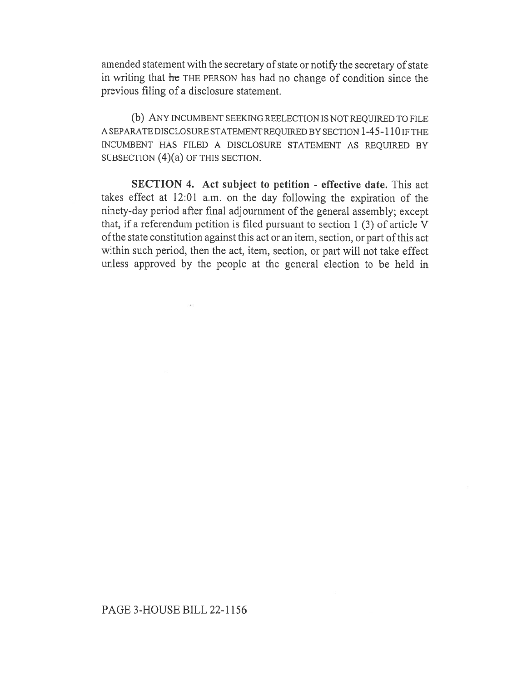amended statement with the secretary of state or notify the secretary of state in writing that he THE PERSON has had no change of condition since the previous filing of a disclosure statement.

(b) ANY INCUMBENT SEEKING REELECTION IS NOT REQUIRED TO FILE A SEPARATE DISCLOSURE STATEMENT REQUIRED BY SECTION 1-45-110 IF THE INCUMBENT HAS FILED A DISCLOSURE STATEMENT AS REQUIRED BY SUBSECTION (4)(a) OF THIS SECTION.

SECTION 4. Act subject to petition - effective date. This act takes effect at 12:01 a.m. on the day following the expiration of the ninety-day period after final adjournment of the general assembly; except that, if a referendum petition is filed pursuant to section 1 (3) of article V of the state constitution against this act or an item, section, or part of this act within such period, then the act, item, section, or part will not take effect unless approved by the people at the general election to be held in